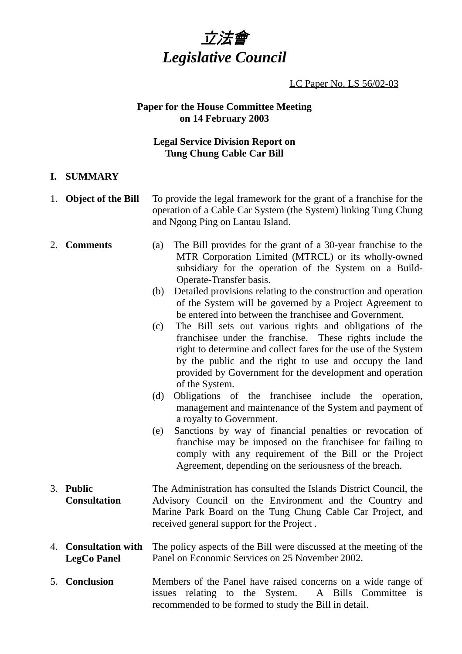

LC Paper No. LS 56/02-03

#### **Paper for the House Committee Meeting on 14 February 2003**

## **Legal Service Division Report on Tung Chung Cable Car Bill**

### **I. SUMMARY**

- 1. **Object of the Bill** To provide the legal framework for the grant of a franchise for the operation of a Cable Car System (the System) linking Tung Chung and Ngong Ping on Lantau Island.
- 2. **Comments** (a) The Bill provides for the grant of a 30-year franchise to the MTR Corporation Limited (MTRCL) or its wholly-owned subsidiary for the operation of the System on a Build-Operate-Transfer basis.
	- (b) Detailed provisions relating to the construction and operation of the System will be governed by a Project Agreement to be entered into between the franchisee and Government.
	- (c) The Bill sets out various rights and obligations of the franchisee under the franchise. These rights include the right to determine and collect fares for the use of the System by the public and the right to use and occupy the land provided by Government for the development and operation of the System.
	- (d) Obligations of the franchisee include the operation, management and maintenance of the System and payment of a royalty to Government.
	- (e) Sanctions by way of financial penalties or revocation of franchise may be imposed on the franchisee for failing to comply with any requirement of the Bill or the Project Agreement, depending on the seriousness of the breach.
- 3. **Public Consultation** The Administration has consulted the Islands District Council, the Advisory Council on the Environment and the Country and Marine Park Board on the Tung Chung Cable Car Project, and received general support for the Project .
- 4. **Consultation with LegCo Panel** The policy aspects of the Bill were discussed at the meeting of the Panel on Economic Services on 25 November 2002.
- 5. **Conclusion** Members of the Panel have raised concerns on a wide range of issues relating to the System. A Bills Committee is recommended to be formed to study the Bill in detail.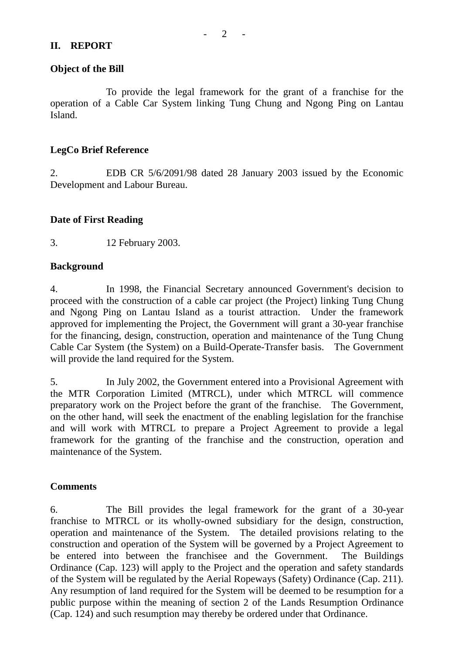#### **II. REPORT**

To provide the legal framework for the grant of a franchise for the operation of a Cable Car System linking Tung Chung and Ngong Ping on Lantau Island.

## **LegCo Brief Reference**

2. EDB CR 5/6/2091/98 dated 28 January 2003 issued by the Economic Development and Labour Bureau.

#### **Date of First Reading**

3. 12 February 2003.

#### **Background**

4. In 1998, the Financial Secretary announced Government's decision to proceed with the construction of a cable car project (the Project) linking Tung Chung and Ngong Ping on Lantau Island as a tourist attraction. Under the framework approved for implementing the Project, the Government will grant a 30-year franchise for the financing, design, construction, operation and maintenance of the Tung Chung Cable Car System (the System) on a Build-Operate-Transfer basis. The Government will provide the land required for the System.

5. In July 2002, the Government entered into a Provisional Agreement with the MTR Corporation Limited (MTRCL), under which MTRCL will commence preparatory work on the Project before the grant of the franchise. The Government, on the other hand, will seek the enactment of the enabling legislation for the franchise and will work with MTRCL to prepare a Project Agreement to provide a legal framework for the granting of the franchise and the construction, operation and maintenance of the System.

#### **Comments**

6. The Bill provides the legal framework for the grant of a 30-year franchise to MTRCL or its wholly-owned subsidiary for the design, construction, operation and maintenance of the System. The detailed provisions relating to the construction and operation of the System will be governed by a Project Agreement to be entered into between the franchisee and the Government. The Buildings Ordinance (Cap. 123) will apply to the Project and the operation and safety standards of the System will be regulated by the Aerial Ropeways (Safety) Ordinance (Cap. 211). Any resumption of land required for the System will be deemed to be resumption for a public purpose within the meaning of section 2 of the Lands Resumption Ordinance (Cap. 124) and such resumption may thereby be ordered under that Ordinance.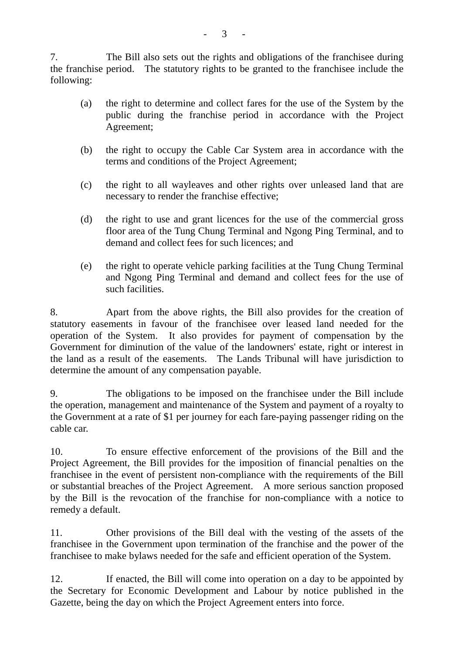7. The Bill also sets out the rights and obligations of the franchisee during the franchise period. The statutory rights to be granted to the franchisee include the following:

- (a) the right to determine and collect fares for the use of the System by the public during the franchise period in accordance with the Project Agreement;
- (b) the right to occupy the Cable Car System area in accordance with the terms and conditions of the Project Agreement;
- (c) the right to all wayleaves and other rights over unleased land that are necessary to render the franchise effective;
- (d) the right to use and grant licences for the use of the commercial gross floor area of the Tung Chung Terminal and Ngong Ping Terminal, and to demand and collect fees for such licences; and
- (e) the right to operate vehicle parking facilities at the Tung Chung Terminal and Ngong Ping Terminal and demand and collect fees for the use of such facilities.

8. Apart from the above rights, the Bill also provides for the creation of statutory easements in favour of the franchisee over leased land needed for the operation of the System. It also provides for payment of compensation by the Government for diminution of the value of the landowners' estate, right or interest in the land as a result of the easements. The Lands Tribunal will have jurisdiction to determine the amount of any compensation payable.

9. The obligations to be imposed on the franchisee under the Bill include the operation, management and maintenance of the System and payment of a royalty to the Government at a rate of \$1 per journey for each fare-paying passenger riding on the cable car.

10. To ensure effective enforcement of the provisions of the Bill and the Project Agreement, the Bill provides for the imposition of financial penalties on the franchisee in the event of persistent non-compliance with the requirements of the Bill or substantial breaches of the Project Agreement. A more serious sanction proposed by the Bill is the revocation of the franchise for non-compliance with a notice to remedy a default.

11. Other provisions of the Bill deal with the vesting of the assets of the franchisee in the Government upon termination of the franchise and the power of the franchisee to make bylaws needed for the safe and efficient operation of the System.

12. If enacted, the Bill will come into operation on a day to be appointed by the Secretary for Economic Development and Labour by notice published in the Gazette, being the day on which the Project Agreement enters into force.